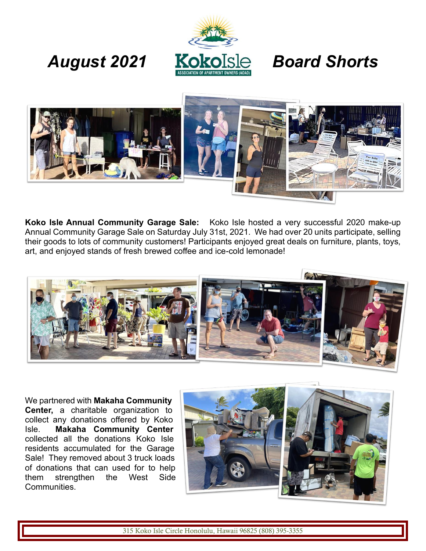

## *August 2021 Board Shorts*



**Koko Isle Annual Community Garage Sale:** Koko Isle hosted a very successful 2020 make-up Annual Community Garage Sale on Saturday July 31st, 2021. We had over 20 units participate, selling their goods to lots of community customers! Participants enjoyed great deals on furniture, plants, toys, art, and enjoyed stands of fresh brewed coffee and ice-cold lemonade!



We partnered with **Makaha Community Center,** a charitable organization to collect any donations offered by Koko Isle. **Makaha Community Center** collected all the donations Koko Isle residents accumulated for the Garage Sale! They removed about 3 truck loads of donations that can used for to help them strengthen the West Side Communities.

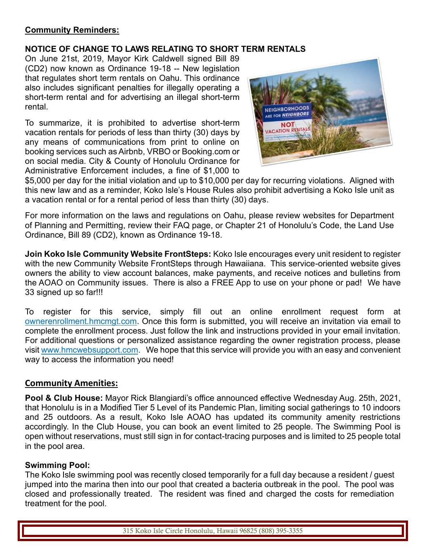### **Community Reminders:**

### **NOTICE OF CHANGE TO LAWS RELATING TO SHORT TERM RENTALS**

On June 21st, 2019, Mayor Kirk Caldwell signed Bill 89 (CD2) now known as Ordinance 19-18 -- New legislation that regulates short term rentals on Oahu. This ordinance also includes significant penalties for illegally operating a short-term rental and for advertising an illegal short-term rental.

To summarize, it is prohibited to advertise short-term vacation rentals for periods of less than thirty (30) days by any means of communications from print to online on booking services such as Airbnb, VRBO or Booking.com or on social media. City & County of Honolulu Ordinance for Administrative Enforcement includes, a fine of \$1,000 to



\$5,000 per day for the initial violation and up to \$10,000 per day for recurring violations. Aligned with this new law and as a reminder, Koko Isle's House Rules also prohibit advertising a Koko Isle unit as a vacation rental or for a rental period of less than thirty (30) days.

For more information on the laws and regulations on Oahu, please review websites for Department of Planning and Permitting, review their FAQ page, or Chapter 21 of Honolulu's Code, the Land Use Ordinance, Bill 89 (CD2), known as Ordinance 19-18.

**Join Koko Isle Community Website FrontSteps:** Koko Isle encourages every unit resident to register with the new Community Website FrontSteps through Hawaiiana. This service-oriented website gives owners the ability to view account balances, make payments, and receive notices and bulletins from the AOAO on Community issues. There is also a FREE App to use on your phone or pad! We have 33 signed up so far!!!

To register for this service, simply fill out an online enrollment request form at ownerenrollment.hmcmgt.com. Once this form is submitted, you will receive an invitation via email to complete the enrollment process. Just follow the link and instructions provided in your email invitation. For additional questions or personalized assistance regarding the owner registration process, please visit www.hmcwebsupport.com. We hope that this service will provide you with an easy and convenient way to access the information you need!

### **Community Amenities:**

**Pool & Club House:** Mayor Rick Blangiardi's office announced effective Wednesday Aug. 25th, 2021, that Honolulu is in a Modified Tier 5 Level of its Pandemic Plan, limiting social gatherings to 10 indoors and 25 outdoors. As a result, Koko Isle AOAO has updated its community amenity restrictions accordingly. In the Club House, you can book an event limited to 25 people. The Swimming Pool is open without reservations, must still sign in for contact-tracing purposes and is limited to 25 people total in the pool area.

### **Swimming Pool:**

The Koko Isle swimming pool was recently closed temporarily for a full day because a resident / guest jumped into the marina then into our pool that created a bacteria outbreak in the pool. The pool was closed and professionally treated. The resident was fined and charged the costs for remediation treatment for the pool.

315 Koko Isle Circle Honolulu, Hawaii 96825 (808) 395-3355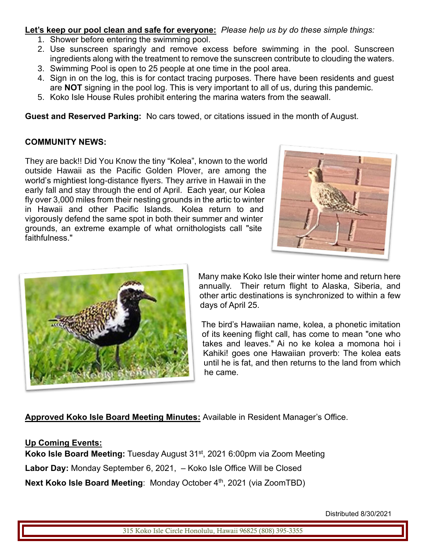**Let's keep our pool clean and safe for everyone:** *Please help us by do these simple things:* 

- 1. Shower before entering the swimming pool.
- 2. Use sunscreen sparingly and remove excess before swimming in the pool. Sunscreen ingredients along with the treatment to remove the sunscreen contribute to clouding the waters.
- 3. Swimming Pool is open to 25 people at one time in the pool area.
- 4. Sign in on the log, this is for contact tracing purposes. There have been residents and guest are **NOT** signing in the pool log. This is very important to all of us, during this pandemic.
- 5. Koko Isle House Rules prohibit entering the marina waters from the seawall.

**Guest and Reserved Parking:** No cars towed, or citations issued in the month of August.

### **COMMUNITY NEWS:**

They are back!! Did You Know the tiny "Kolea", known to the world outside Hawaii as the Pacific Golden Plover, are among the world's mightiest long-distance flyers. They arrive in Hawaii in the early fall and stay through the end of April. Each year, our Kolea fly over 3,000 miles from their nesting grounds in the artic to winter in Hawaii and other Pacific Islands. Kolea return to and vigorously defend the same spot in both their summer and winter grounds, an extreme example of what ornithologists call "site faithfulness."





Many make Koko Isle their winter home and return here annually. Their return flight to Alaska, Siberia, and other artic destinations is synchronized to within a few days of April 25.

The bird's Hawaiian name, kolea, a phonetic imitation of its keening flight call, has come to mean "one who takes and leaves." Ai no ke kolea a momona hoi i Kahiki! goes one Hawaiian proverb: The kolea eats until he is fat, and then returns to the land from which he came.

**Approved Koko Isle Board Meeting Minutes:** Available in Resident Manager's Office.

### **Up Coming Events:**

**Koko Isle Board Meeting:** Tuesday August 31<sup>st</sup>, 2021 6:00pm via Zoom Meeting **Labor Day:** Monday September 6, 2021, – Koko Isle Office Will be Closed **Next Koko Isle Board Meeting: Monday October 4th, 2021 (via ZoomTBD)** 

Distributed 8/30/2021

315 Koko Isle Circle Honolulu, Hawaii 96825 (808) 395-3355